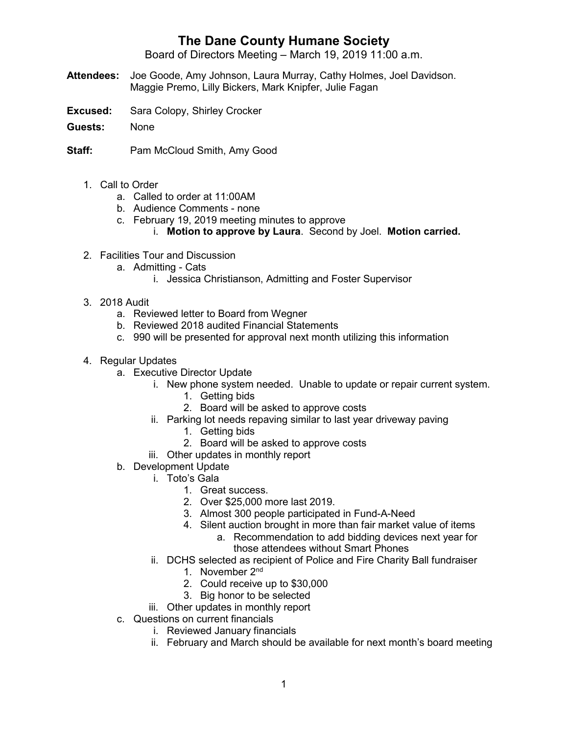## **The Dane County Humane Society**

Board of Directors Meeting – March 19, 2019 11:00 a.m.

- **Attendees:** Joe Goode, Amy Johnson, Laura Murray, Cathy Holmes, Joel Davidson. Maggie Premo, Lilly Bickers, Mark Knipfer, Julie Fagan
- **Excused:** Sara Colopy, Shirley Crocker
- **Guests:** None
- **Staff:** Pam McCloud Smith, Amy Good
	- 1. Call to Order
		- a. Called to order at 11:00AM
		- b. Audience Comments none
		- c. February 19, 2019 meeting minutes to approve
			- i. **Motion to approve by Laura**. Second by Joel. **Motion carried.**
	- 2. Facilities Tour and Discussion
		- a. Admitting Cats
			- i. Jessica Christianson, Admitting and Foster Supervisor
	- 3. 2018 Audit
		- a. Reviewed letter to Board from Wegner
		- b. Reviewed 2018 audited Financial Statements
		- c. 990 will be presented for approval next month utilizing this information
	- 4. Regular Updates
		- a. Executive Director Update
			- i. New phone system needed. Unable to update or repair current system.
				- 1. Getting bids
				- 2. Board will be asked to approve costs
			- ii. Parking lot needs repaving similar to last year driveway paving
				- 1. Getting bids
				- 2. Board will be asked to approve costs
			- iii. Other updates in monthly report
		- b. Development Update
			- i. Toto's Gala
				- 1. Great success.
				- 2. Over \$25,000 more last 2019.
				- 3. Almost 300 people participated in Fund-A-Need
				- 4. Silent auction brought in more than fair market value of items
					- a. Recommendation to add bidding devices next year for those attendees without Smart Phones
			- ii. DCHS selected as recipient of Police and Fire Charity Ball fundraiser
				- 1. November 2nd
				- 2. Could receive up to \$30,000
				- 3. Big honor to be selected
			- iii. Other updates in monthly report
		- c. Questions on current financials
			- i. Reviewed January financials
			- ii. February and March should be available for next month's board meeting